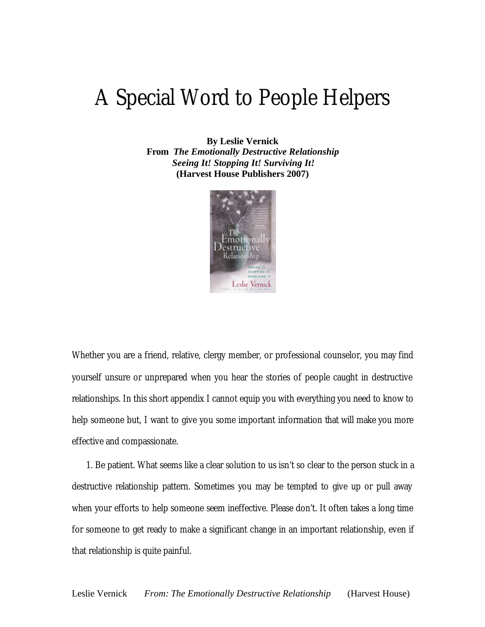## A Special Word to People Helpers

**By Leslie Vernick From** *The Emotionally Destructive Relationship Seeing It! Stopping It! Surviving It!* **(Harvest House Publishers 2007)**



Whether you are a friend, relative, clergy member, or professional counselor, you may find yourself unsure or unprepared when you hear the stories of people caught in destructive relationships. In this short appendix I cannot equip you with everything you need to know to help someone but, I want to give you some important information that will make you more effective and compassionate.

1. Be patient. What seems like a clear solution to us isn't so clear to the person stuck in a destructive relationship pattern. Sometimes you may be tempted to give up or pull away when your efforts to help someone seem ineffective. Please don't. It often takes a long time for someone to get ready to make a significant change in an important relationship, even if that relationship is quite painful.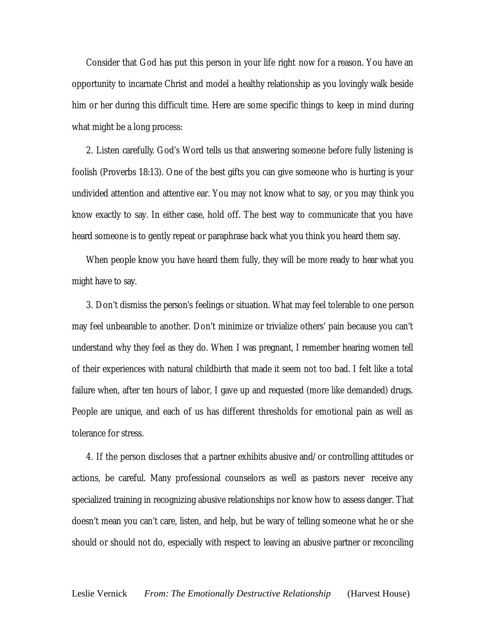Consider that God has put this person in your life right now for a reason. You have an opportunity to incarnate Christ and model a healthy relationship as you lovingly walk beside him or her during this difficult time. Here are some specific things to keep in mind during what might be a long process:

2. Listen carefully. God's Word tells us that answering someone before fully listening is foolish (Proverbs 18:13). One of the best gifts you can give someone who is hurting is your undivided attention and attentive ear. You may not know what to say, or you may think you know exactly to say. In either case, hold off. The best way to communicate that you have heard someone is to gently repeat or paraphrase back what you think you heard them say.

When people know you have heard them fully, they will be more ready to hear what you might have to say.

3. Don't dismiss the person's feelings or situation. What may feel tolerable to one person may feel unbearable to another. Don't minimize or trivialize others' pain because you can't understand why they feel as they do. When I was pregnant, I remember hearing women tell of their experiences with natural childbirth that made it seem not too bad. I felt like a total failure when, after ten hours of labor, I gave up and requested (more like demanded) drugs. People are unique, and each of us has different thresholds for emotional pain as well as tolerance for stress.

4. If the person discloses that a partner exhibits abusive and/or controlling attitudes or actions, be careful. Many professional counselors as well as pastors never receive any specialized training in recognizing abusive relationships nor know how to assess danger. That doesn't mean you can't care, listen, and help, but be wary of telling someone what he or she should or should not do, especially with respect to leaving an abusive partner or reconciling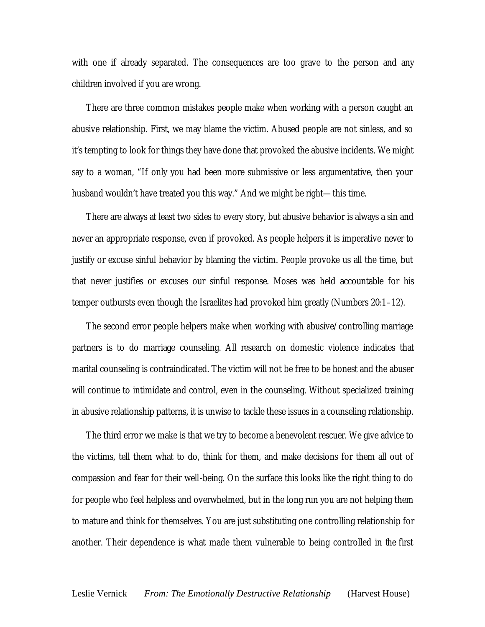with one if already separated. The consequences are too grave to the person and any children involved if you are wrong.

There are three common mistakes people make when working with a person caught an abusive relationship. First, we may blame the victim. Abused people are not sinless, and so it's tempting to look for things they have done that provoked the abusive incidents. We might say to a woman, "If only you had been more submissive or less argumentative, then your husband wouldn't have treated you this way." And we might be right—this time.

There are always at least two sides to every story, but abusive behavior is always a sin and never an appropriate response, even if provoked. As people helpers it is imperative never to justify or excuse sinful behavior by blaming the victim. People provoke us all the time, but that never justifies or excuses our sinful response. Moses was held accountable for his temper outbursts even though the Israelites had provoked him greatly (Numbers 20:1–12).

The second error people helpers make when working with abusive/controlling marriage partners is to do marriage counseling. All research on domestic violence indicates that marital counseling is contraindicated. The victim will not be free to be honest and the abuser will continue to intimidate and control, even in the counseling. Without specialized training in abusive relationship patterns, it is unwise to tackle these issues in a counseling relationship.

The third error we make is that we try to become a benevolent rescuer. We give advice to the victims, tell them what to do, think for them, and make decisions for them all out of compassion and fear for their well-being. On the surface this looks like the right thing to do for people who feel helpless and overwhelmed, but in the long run you are not helping them to mature and think for themselves. You are just substituting one controlling relationship for another. Their dependence is what made them vulnerable to being controlled in the first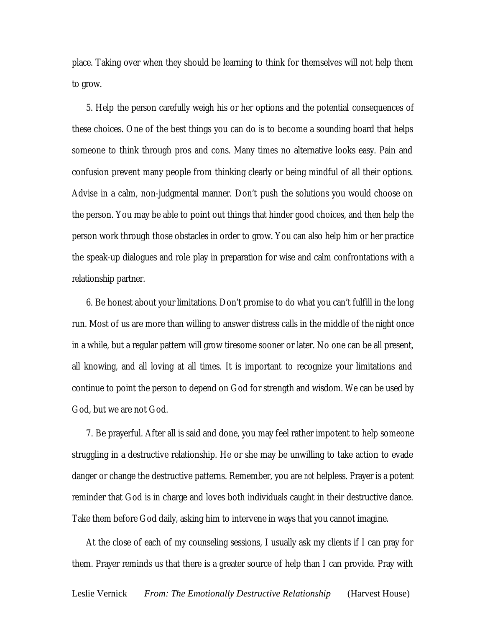place. Taking over when they should be learning to think for themselves will not help them to grow.

5. Help the person carefully weigh his or her options and the potential consequences of these choices. One of the best things you can do is to become a sounding board that helps someone to think through pros and cons. Many times no alternative looks easy. Pain and confusion prevent many people from thinking clearly or being mindful of all their options. Advise in a calm, non-judgmental manner. Don't push the solutions you would choose on the person. You may be able to point out things that hinder good choices, and then help the person work through those obstacles in order to grow. You can also help him or her practice the speak-up dialogues and role play in preparation for wise and calm confrontations with a relationship partner.

6. Be honest about your limitations. Don't promise to do what you can't fulfill in the long run. Most of us are more than willing to answer distress calls in the middle of the night once in a while, but a regular pattern will grow tiresome sooner or later. No one can be all present, all knowing, and all loving at all times. It is important to recognize your limitations and continue to point the person to depend on God for strength and wisdom. We can be used by God, but we are not God.

7. Be prayerful. After all is said and done, you may feel rather impotent to help someone struggling in a destructive relationship. He or she may be unwilling to take action to evade danger or change the destructive patterns. Remember, you are *not* helpless. Prayer is a potent reminder that God is in charge and loves both individuals caught in their destructive dance. Take them before God daily, asking him to intervene in ways that you cannot imagine.

At the close of each of my counseling sessions, I usually ask my clients if I can pray for them. Prayer reminds us that there is a greater source of help than I can provide. Pray with